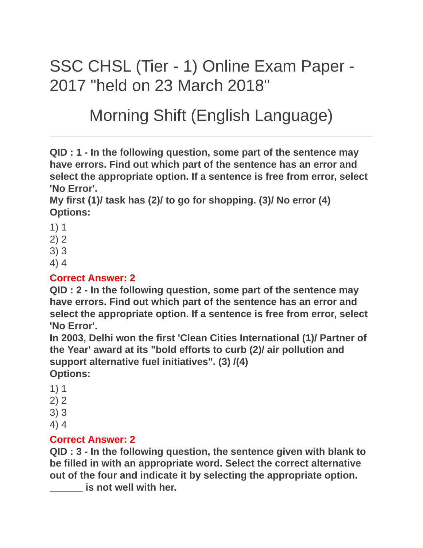# SSC CHSL (Tier - 1) Online Exam Paper - 2017 "held on 23 March 2018"

# Morning Shift (English Language)

**QID : 1 - In the following question, some part of the sentence may have errors. Find out which part of the sentence has an error and select the appropriate option. If a sentence is free from error, select 'No Error'.**

**My first (1)/ task has (2)/ to go for shopping. (3)/ No error (4) Options:**

- 1) 1
- 2) 2
- 3) 3
- 4) 4

#### **Correct Answer: 2**

**QID : 2 - In the following question, some part of the sentence may have errors. Find out which part of the sentence has an error and select the appropriate option. If a sentence is free from error, select 'No Error'.**

**In 2003, Delhi won the first 'Clean Cities International (1)/ Partner of the Year' award at its "bold efforts to curb (2)/ air pollution and support alternative fuel initiatives". (3) /(4) Options:**

- 1) 1
- 2) 2
- 3) 3
- 4) 4

#### **Correct Answer: 2**

**QID : 3 - In the following question, the sentence given with blank to be filled in with an appropriate word. Select the correct alternative out of the four and indicate it by selecting the appropriate option.**

**\_\_\_\_\_\_ is not well with her.**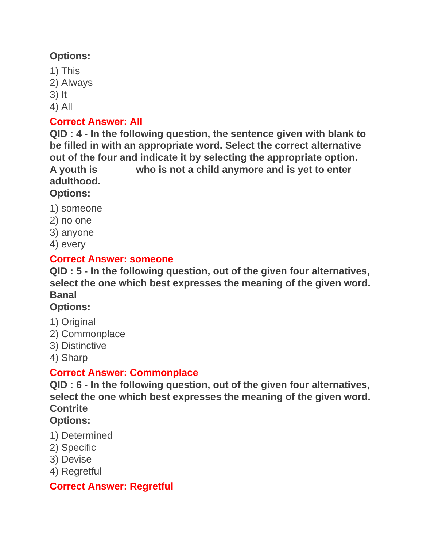## **Options:**

- 1) This
- 2) Always
- 3) It
- 4) All

## **Correct Answer: All**

**QID : 4 - In the following question, the sentence given with blank to be filled in with an appropriate word. Select the correct alternative out of the four and indicate it by selecting the appropriate option. A youth is \_\_\_\_\_\_ who is not a child anymore and is yet to enter adulthood.**

# **Options:**

- 1) someone
- 2) no one
- 3) anyone
- 4) every

## **Correct Answer: someone**

**QID : 5 - In the following question, out of the given four alternatives, select the one which best expresses the meaning of the given word. Banal**

# **Options:**

- 1) Original
- 2) Commonplace
- 3) Distinctive
- 4) Sharp

# **Correct Answer: Commonplace**

**QID : 6 - In the following question, out of the given four alternatives, select the one which best expresses the meaning of the given word. Contrite**

# **Options:**

- 1) Determined
- 2) Specific
- 3) Devise
- 4) Regretful

# **Correct Answer: Regretful**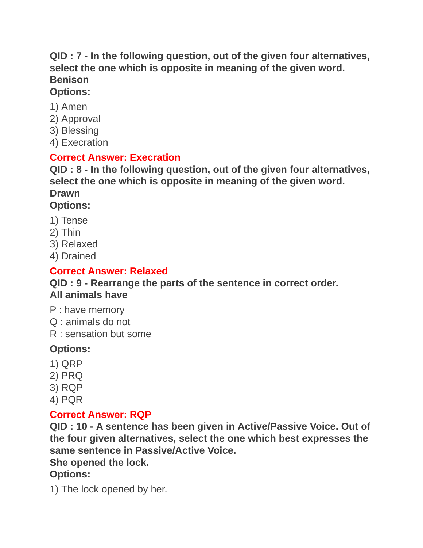#### **QID : 7 - In the following question, out of the given four alternatives, select the one which is opposite in meaning of the given word. Benison Options:**

#### 1) Amen

- 2) Approval
- 3) Blessing
- 4) Execration

#### **Correct Answer: Execration**

**QID : 8 - In the following question, out of the given four alternatives, select the one which is opposite in meaning of the given word. Drawn Options:**

- 1) Tense
- 2) Thin
- 3) Relaxed
- 4) Drained

## **Correct Answer: Relaxed**

#### **QID : 9 - Rearrange the parts of the sentence in correct order. All animals have**

- P : have memory
- Q : animals do not
- R : sensation but some

# **Options:**

- 1) QRP
- 2) PRQ
- 3) RQP
- 4) PQR

#### **Correct Answer: RQP**

**QID : 10 - A sentence has been given in Active/Passive Voice. Out of the four given alternatives, select the one which best expresses the same sentence in Passive/Active Voice.**

#### **She opened the lock.**

# **Options:**

1) The lock opened by her.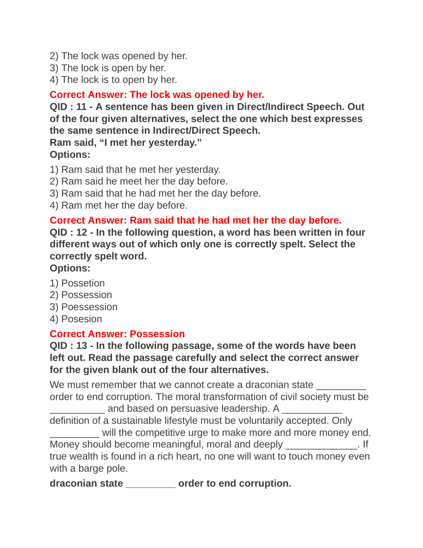- 2) The lock was opened by her.
- 3) The lock is open by her.
- 4) The lock is to open by her.

#### **Correct Answer: The lock was opened by her.**

**QID : 11 - A sentence has been given in Direct/Indirect Speech. Out of the four given alternatives, select the one which best expresses the same sentence in Indirect/Direct Speech.**

**Ram said, "I met her yesterday." Options:**

- 1) Ram said that he met her yesterday.
- 2) Ram said he meet her the day before.
- 3) Ram said that he had met her the day before.
- 4) Ram met her the day before.

#### **Correct Answer: Ram said that he had met her the day before.**

**QID : 12 - In the following question, a word has been written in four different ways out of which only one is correctly spelt. Select the correctly spelt word.**

## **Options:**

- 1) Possetion
- 2) Possession
- 3) Poessession
- 4) Posesion

#### **Correct Answer: Possession**

**QID : 13 - In the following passage, some of the words have been left out. Read the passage carefully and select the correct answer for the given blank out of the four alternatives.**

We must remember that we cannot create a draconian state order to end corruption. The moral transformation of civil society must be \_\_\_\_\_\_\_\_\_\_ and based on persuasive leadership. A \_\_\_\_\_\_\_\_\_\_\_

definition of a sustainable lifestyle must be voluntarily accepted. Only will the competitive urge to make more and more money end. Money should become meaningful, moral and deeply entitled as a set of the Money should become meaningful, moral and deeply true wealth is found in a rich heart, no one will want to touch money even with a barge pole.

**draconian state \_\_\_\_\_\_\_\_\_ order to end corruption.**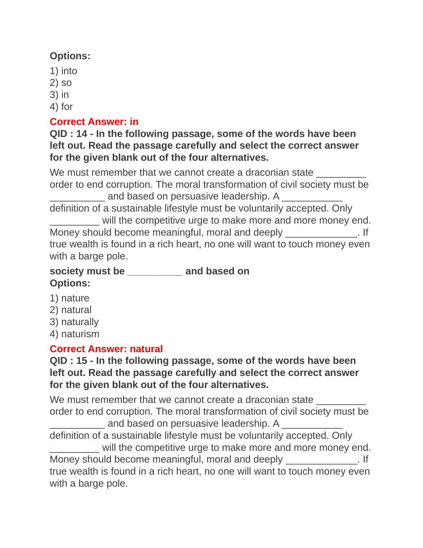## **Options:**

- 1) into
- 2) so
- 3) in
- 4) for

#### **Correct Answer: in**

**QID : 14 - In the following passage, some of the words have been left out. Read the passage carefully and select the correct answer for the given blank out of the four alternatives.**

We must remember that we cannot create a draconian state order to end corruption. The moral transformation of civil society must be and based on persuasive leadership. A definition of a sustainable lifestyle must be voluntarily accepted. Only will the competitive urge to make more and more money end. Money should become meaningful, moral and deeply Theorem 2. If true wealth is found in a rich heart, no one will want to touch money even with a barge pole.

# **society must be \_\_\_\_\_\_\_\_\_\_ and based on Options:**

- 1) nature
- 2) natural
- 3) naturally
- 4) naturism

# **Correct Answer: natural**

#### **QID : 15 - In the following passage, some of the words have been left out. Read the passage carefully and select the correct answer for the given blank out of the four alternatives.**

We must remember that we cannot create a draconian state order to end corruption. The moral transformation of civil society must be  $\frac{1}{2}$  and based on persuasive leadership. A definition of a sustainable lifestyle must be voluntarily accepted. Only will the competitive urge to make more and more money end. Money should become meaningful, moral and deeply entitled as a set of the Money should become meaningful, moral and deeply true wealth is found in a rich heart, no one will want to touch money even with a barge pole.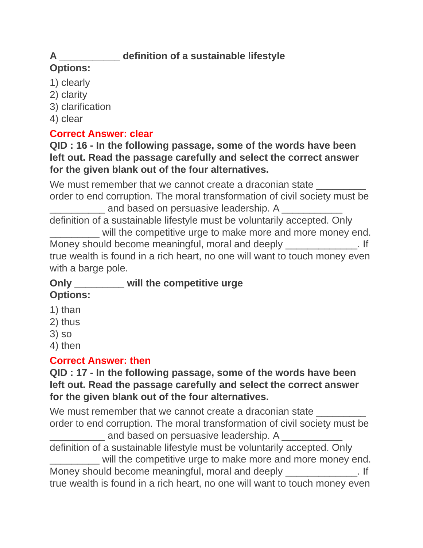# **A \_\_\_\_\_\_\_\_\_\_\_ definition of a sustainable lifestyle**

# **Options:**

- 1) clearly
- 2) clarity
- 3) clarification
- 4) clear

# **Correct Answer: clear**

**QID : 16 - In the following passage, some of the words have been left out. Read the passage carefully and select the correct answer for the given blank out of the four alternatives.**

We must remember that we cannot create a draconian state order to end corruption. The moral transformation of civil society must be and based on persuasive leadership. A definition of a sustainable lifestyle must be voluntarily accepted. Only will the competitive urge to make more and more money end. Money should become meaningful, moral and deeply \_\_\_\_\_\_\_\_\_\_\_\_\_. If true wealth is found in a rich heart, no one will want to touch money even with a barge pole.

# **Only \_\_\_\_\_\_\_\_\_ will the competitive urge**

- **Options:**
- 1) than
- 2) thus
- 3) so
- 4) then

# **Correct Answer: then**

#### **QID : 17 - In the following passage, some of the words have been left out. Read the passage carefully and select the correct answer for the given blank out of the four alternatives.**

We must remember that we cannot create a draconian state order to end corruption. The moral transformation of civil society must be and based on persuasive leadership. A definition of a sustainable lifestyle must be voluntarily accepted. Only will the competitive urge to make more and more money end. Money should become meaningful, moral and deeply \_\_\_\_\_\_\_\_\_\_\_\_\_. If

true wealth is found in a rich heart, no one will want to touch money even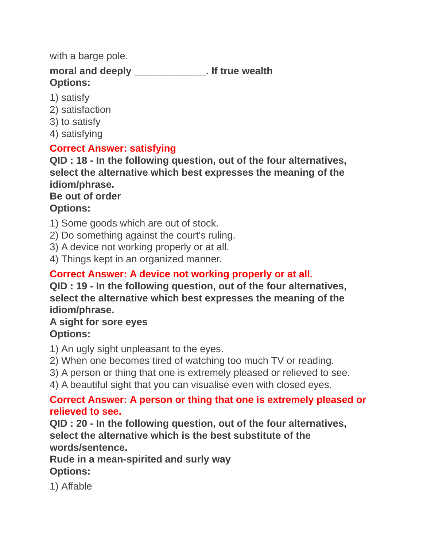with a barge pole.

**moral and deeply \_\_\_\_\_\_\_\_\_\_\_\_\_. If true wealth Options:**

- 1) satisfy
- 2) satisfaction
- 3) to satisfy
- 4) satisfying

#### **Correct Answer: satisfying**

**QID : 18 - In the following question, out of the four alternatives, select the alternative which best expresses the meaning of the idiom/phrase.**

#### **Be out of order Options:**

1) Some goods which are out of stock.

2) Do something against the court's ruling.

3) A device not working properly or at all.

4) Things kept in an organized manner.

# **Correct Answer: A device not working properly or at all.**

**QID : 19 - In the following question, out of the four alternatives, select the alternative which best expresses the meaning of the idiom/phrase.**

#### **A sight for sore eyes Options:**

1) An ugly sight unpleasant to the eyes.

2) When one becomes tired of watching too much TV or reading.

3) A person or thing that one is extremely pleased or relieved to see.

4) A beautiful sight that you can visualise even with closed eyes.

#### **Correct Answer: A person or thing that one is extremely pleased or relieved to see.**

**QID : 20 - In the following question, out of the four alternatives, select the alternative which is the best substitute of the words/sentence.**

**Rude in a mean-spirited and surly way Options:**

1) Affable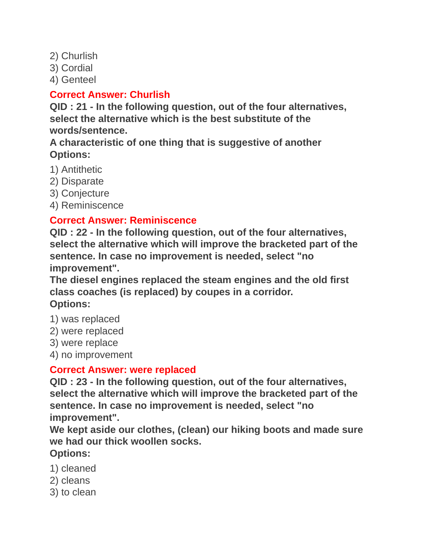2) Churlish

3) Cordial

4) Genteel

#### **Correct Answer: Churlish**

**QID : 21 - In the following question, out of the four alternatives, select the alternative which is the best substitute of the words/sentence.**

**A characteristic of one thing that is suggestive of another Options:**

- 1) Antithetic
- 2) Disparate
- 3) Conjecture
- 4) Reminiscence

# **Correct Answer: Reminiscence**

**QID : 22 - In the following question, out of the four alternatives, select the alternative which will improve the bracketed part of the sentence. In case no improvement is needed, select "no improvement".**

**The diesel engines replaced the steam engines and the old first class coaches (is replaced) by coupes in a corridor. Options:**

- 1) was replaced
- 2) were replaced
- 3) were replace
- 4) no improvement

#### **Correct Answer: were replaced**

**QID : 23 - In the following question, out of the four alternatives, select the alternative which will improve the bracketed part of the sentence. In case no improvement is needed, select "no improvement".**

**We kept aside our clothes, (clean) our hiking boots and made sure we had our thick woollen socks.**

**Options:**

- 1) cleaned
- 2) cleans
- 3) to clean